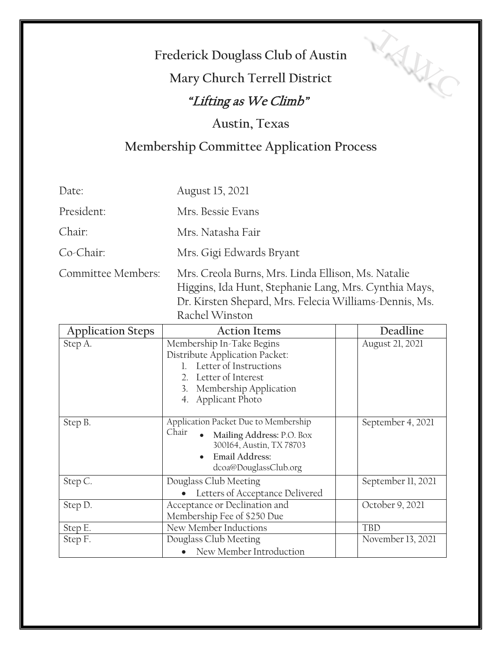## **Frederick Douglass Club of Austin**

TAHIC

# **Mary Church Terrell District**

### "Lifting as We Climb"

#### **Austin, Texas**

### **Membership Committee Application Process**

| Date:              | August 15, 2021                                                                                                                                                       |
|--------------------|-----------------------------------------------------------------------------------------------------------------------------------------------------------------------|
| President:         | Mrs. Bessie Evans                                                                                                                                                     |
| Chair:             | Mrs. Natasha Fair                                                                                                                                                     |
| Co-Chair:          | Mrs. Gigi Edwards Bryant                                                                                                                                              |
| Committee Members: | Mrs. Creola Burns, Mrs. Linda Ellison, Ms. Natalie<br>Higgins, Ida Hunt, Stephanie Lang, Mrs. Cynthia Mays,<br>Dr. Kirsten Shepard, Mrs. Felecia Williams-Dennis, Ms. |

Rachel Winston

| <b>Application Steps</b> | <b>Action Items</b>                                                                                                                                               | Deadline           |
|--------------------------|-------------------------------------------------------------------------------------------------------------------------------------------------------------------|--------------------|
| Step A.                  | Membership In-Take Begins<br>Distribute Application Packet:<br>Letter of Instructions<br>2. Letter of Interest<br>3. Membership Application<br>4. Applicant Photo | August 21, 2021    |
| Step B.                  | Application Packet Due to Membership<br>Chair<br>Mailing Address: P.O. Box<br>300164, Austin, TX 78703<br><b>Email Address:</b><br>dcoa@DouglassClub.org          | September 4, 2021  |
| Step C.                  | Douglass Club Meeting<br>Letters of Acceptance Delivered                                                                                                          | September 11, 2021 |
| Step D.                  | Acceptance or Declination and<br>Membership Fee of \$250 Due                                                                                                      | October 9, 2021    |
| Step E.                  | New Member Inductions                                                                                                                                             | <b>TBD</b>         |
| Step F.                  | Douglass Club Meeting<br>New Member Introduction                                                                                                                  | November 13, 2021  |